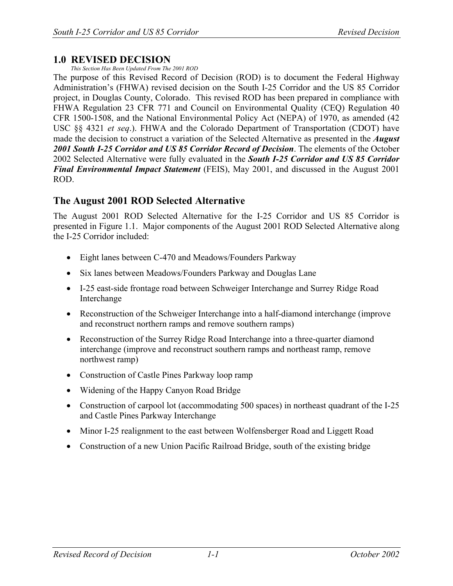## **1.0 REVISED DECISION**

*This Section Has Been Updated From The 2001 ROD* 

The purpose of this Revised Record of Decision (ROD) is to document the Federal Highway Administration's (FHWA) revised decision on the South I-25 Corridor and the US 85 Corridor project, in Douglas County, Colorado. This revised ROD has been prepared in compliance with FHWA Regulation 23 CFR 771 and Council on Environmental Quality (CEQ) Regulation 40 CFR 1500-1508, and the National Environmental Policy Act (NEPA) of 1970, as amended (42 USC §§ 4321 *et seq*.). FHWA and the Colorado Department of Transportation (CDOT) have made the decision to construct a variation of the Selected Alternative as presented in the *August 2001 South I-25 Corridor and US 85 Corridor Record of Decision*. The elements of the October 2002 Selected Alternative were fully evaluated in the *South I-25 Corridor and US 85 Corridor Final Environmental Impact Statement* (FEIS), May 2001, and discussed in the August 2001 ROD.

## **The August 2001 ROD Selected Alternative**

The August 2001 ROD Selected Alternative for the I-25 Corridor and US 85 Corridor is presented in Figure 1.1. Major components of the August 2001 ROD Selected Alternative along the I-25 Corridor included:

- Eight lanes between C-470 and Meadows/Founders Parkway
- Six lanes between Meadows/Founders Parkway and Douglas Lane
- I-25 east-side frontage road between Schweiger Interchange and Surrey Ridge Road Interchange
- Reconstruction of the Schweiger Interchange into a half-diamond interchange (improve and reconstruct northern ramps and remove southern ramps)
- Reconstruction of the Surrey Ridge Road Interchange into a three-quarter diamond interchange (improve and reconstruct southern ramps and northeast ramp, remove northwest ramp)
- Construction of Castle Pines Parkway loop ramp
- Widening of the Happy Canyon Road Bridge
- Construction of carpool lot (accommodating 500 spaces) in northeast quadrant of the I-25 and Castle Pines Parkway Interchange
- Minor I-25 realignment to the east between Wolfensberger Road and Liggett Road
- Construction of a new Union Pacific Railroad Bridge, south of the existing bridge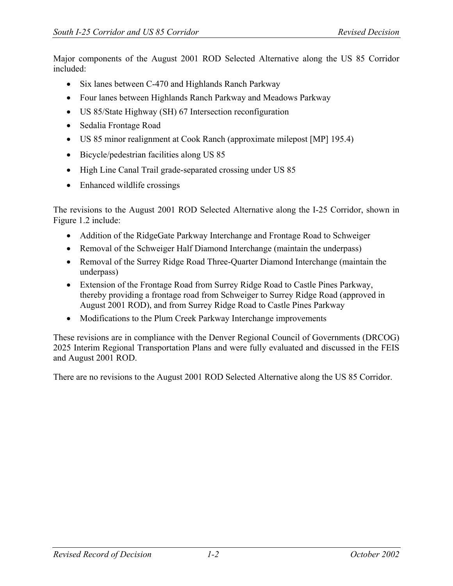Major components of the August 2001 ROD Selected Alternative along the US 85 Corridor included:

- Six lanes between C-470 and Highlands Ranch Parkway
- Four lanes between Highlands Ranch Parkway and Meadows Parkway
- US 85/State Highway (SH) 67 Intersection reconfiguration
- Sedalia Frontage Road
- US 85 minor realignment at Cook Ranch (approximate milepost [MP] 195.4)
- Bicycle/pedestrian facilities along US 85
- High Line Canal Trail grade-separated crossing under US 85
- Enhanced wildlife crossings

The revisions to the August 2001 ROD Selected Alternative along the I-25 Corridor, shown in Figure 1.2 include:

- Addition of the RidgeGate Parkway Interchange and Frontage Road to Schweiger
- Removal of the Schweiger Half Diamond Interchange (maintain the underpass)
- Removal of the Surrey Ridge Road Three-Quarter Diamond Interchange (maintain the underpass)
- Extension of the Frontage Road from Surrey Ridge Road to Castle Pines Parkway, thereby providing a frontage road from Schweiger to Surrey Ridge Road (approved in August 2001 ROD), and from Surrey Ridge Road to Castle Pines Parkway
- Modifications to the Plum Creek Parkway Interchange improvements

These revisions are in compliance with the Denver Regional Council of Governments (DRCOG) 2025 Interim Regional Transportation Plans and were fully evaluated and discussed in the FEIS and August 2001 ROD.

There are no revisions to the August 2001 ROD Selected Alternative along the US 85 Corridor.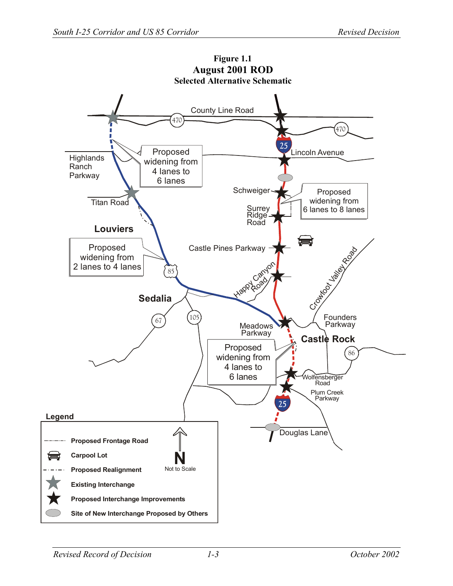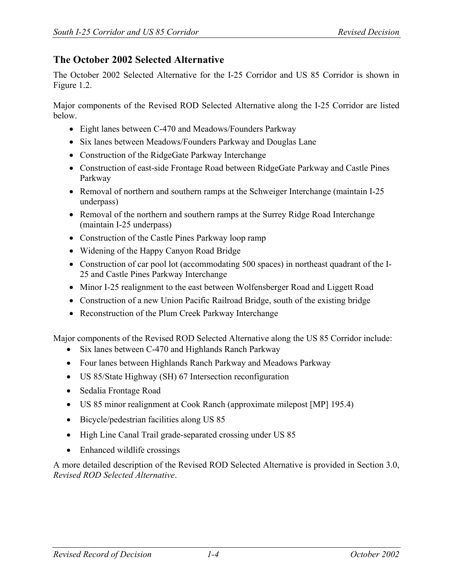## **The October 2002 Selected Alternative**

The October 2002 Selected Alternative for the I-25 Corridor and US 85 Corridor is shown in Figure 1.2.

Major components of the Revised ROD Selected Alternative along the I-25 Corridor are listed below.

- Eight lanes between C-470 and Meadows/Founders Parkway
- Six lanes between Meadows/Founders Parkway and Douglas Lane
- Construction of the RidgeGate Parkway Interchange
- Construction of east-side Frontage Road between RidgeGate Parkway and Castle Pines Parkway
- Removal of northern and southern ramps at the Schweiger Interchange (maintain I-25 underpass)
- Removal of the northern and southern ramps at the Surrey Ridge Road Interchange (maintain I-25 underpass)
- Construction of the Castle Pines Parkway loop ramp
- Widening of the Happy Canyon Road Bridge
- Construction of car pool lot (accommodating 500 spaces) in northeast quadrant of the I-25 and Castle Pines Parkway Interchange
- Minor I-25 realignment to the east between Wolfensberger Road and Liggett Road
- Construction of a new Union Pacific Railroad Bridge, south of the existing bridge
- Reconstruction of the Plum Creek Parkway Interchange

Major components of the Revised ROD Selected Alternative along the US 85 Corridor include:

- Six lanes between C-470 and Highlands Ranch Parkway
- Four lanes between Highlands Ranch Parkway and Meadows Parkway
- US 85/State Highway (SH) 67 Intersection reconfiguration
- Sedalia Frontage Road
- US 85 minor realignment at Cook Ranch (approximate milepost [MP] 195.4)
- Bicycle/pedestrian facilities along US 85
- High Line Canal Trail grade-separated crossing under US 85
- Enhanced wildlife crossings

A more detailed description of the Revised ROD Selected Alternative is provided in Section 3.0, *Revised ROD Selected Alternative*.